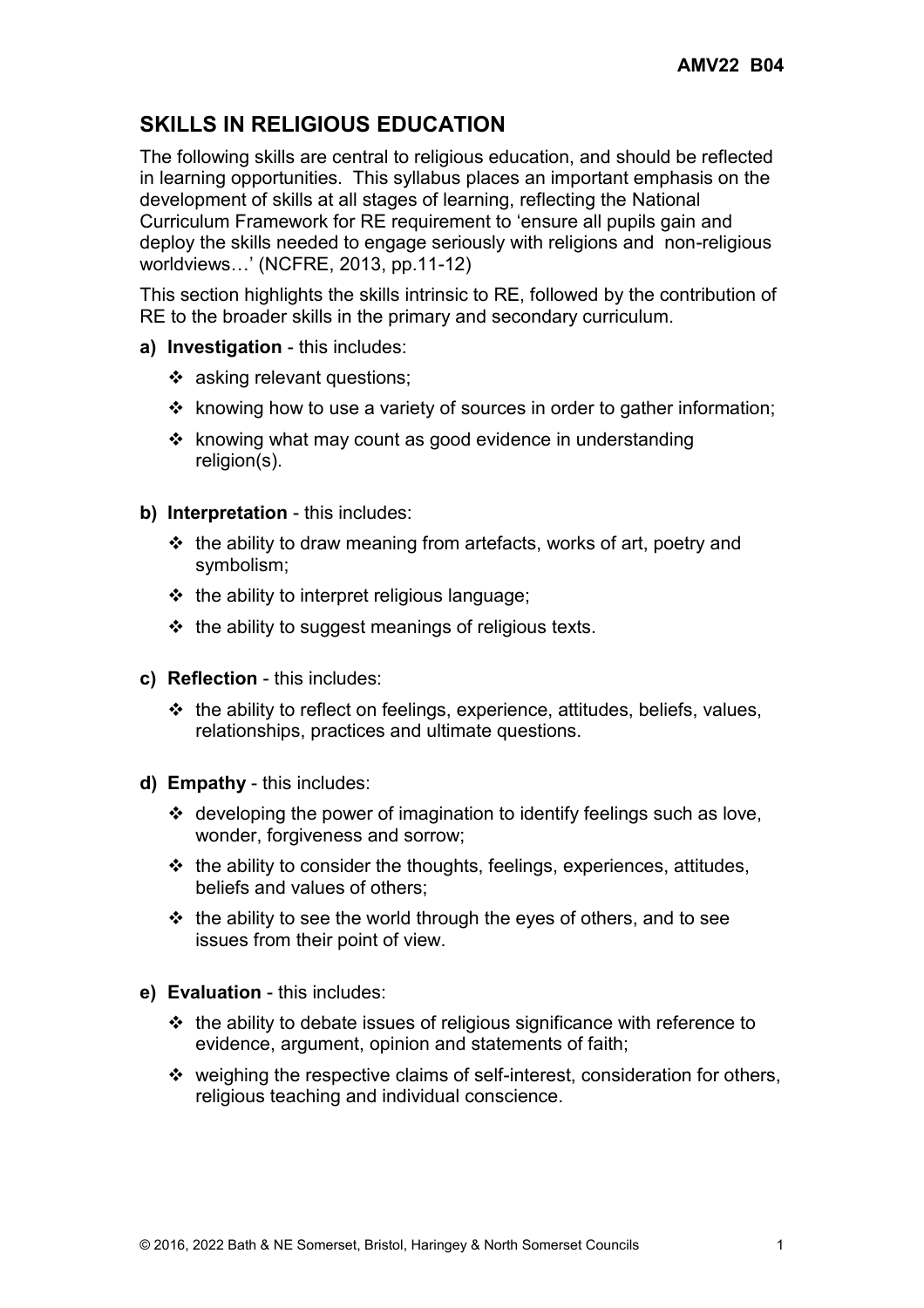## **SKILLS IN RELIGIOUS EDUCATION**

The following skills are central to religious education, and should be reflected in learning opportunities. This syllabus places an important emphasis on the development of skills at all stages of learning, reflecting the National Curriculum Framework for RE requirement to 'ensure all pupils gain and deploy the skills needed to engage seriously with religions and non-religious worldviews…' (NCFRE, 2013, pp.11-12)

This section highlights the skills intrinsic to RE, followed by the contribution of RE to the broader skills in the primary and secondary curriculum.

- **a) Investigation** this includes:
	- asking relevant questions;
	- $\cdot \cdot$  knowing how to use a variety of sources in order to gather information;
	- $\cdot$  knowing what may count as good evidence in understanding religion(s).
- **b) Interpretation** this includes:
	- $\div$  the ability to draw meaning from artefacts, works of art, poetry and symbolism;
	- $\div$  the ability to interpret religious language;
	- $\cdot \cdot$  the ability to suggest meanings of religious texts.
- **c) Reflection** this includes:
	- $\triangle$  the ability to reflect on feelings, experience, attitudes, beliefs, values, relationships, practices and ultimate questions.
- **d) Empathy** this includes:
	- developing the power of imagination to identify feelings such as love, wonder, forgiveness and sorrow;
	- $\div$  the ability to consider the thoughts, feelings, experiences, attitudes, beliefs and values of others;
	- $\div$  the ability to see the world through the eyes of others, and to see issues from their point of view.
- **e) Evaluation** this includes:
	- $\cdot \cdot$  the ability to debate issues of religious significance with reference to evidence, argument, opinion and statements of faith;
	- weighing the respective claims of self-interest, consideration for others, religious teaching and individual conscience.